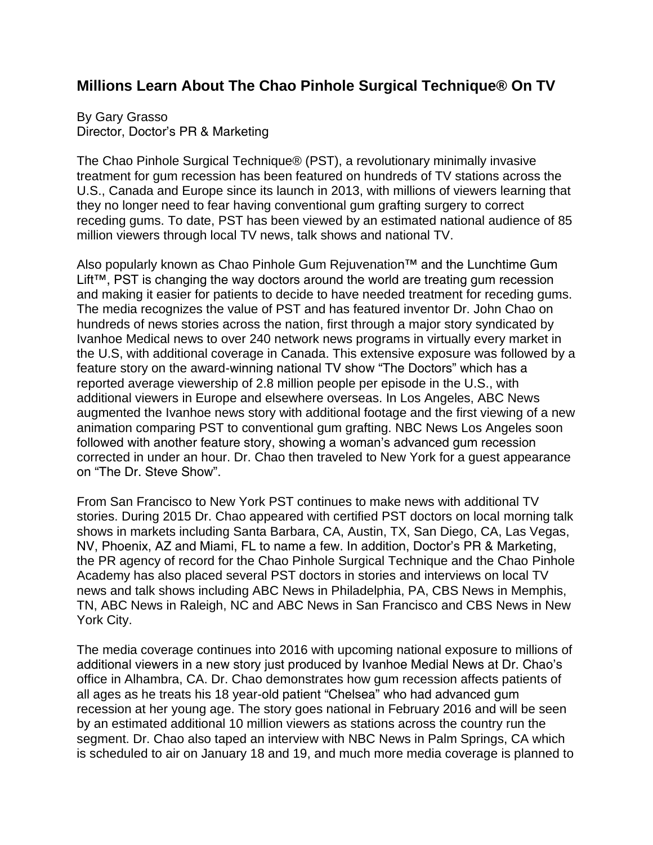## **Millions Learn About The Chao Pinhole Surgical Technique® On TV**

By Gary Grasso Director, Doctor's PR & Marketing

The Chao Pinhole Surgical Technique® (PST), a revolutionary minimally invasive treatment for gum recession has been featured on hundreds of TV stations across the U.S., Canada and Europe since its launch in 2013, with millions of viewers learning that they no longer need to fear having conventional gum grafting surgery to correct receding gums. To date, PST has been viewed by an estimated national audience of 85 million viewers through local TV news, talk shows and national TV.

Also popularly known as Chao Pinhole Gum Rejuvenation™ and the Lunchtime Gum Lift™, PST is changing the way doctors around the world are treating gum recession and making it easier for patients to decide to have needed treatment for receding gums. The media recognizes the value of PST and has featured inventor Dr. John Chao on hundreds of news stories across the nation, first through a major story syndicated by Ivanhoe Medical news to over 240 network news programs in virtually every market in the U.S, with additional coverage in Canada. This extensive exposure was followed by a feature story on the award-winning national TV show "The Doctors" which has a reported average viewership of 2.8 million people per episode in the U.S., with additional viewers in Europe and elsewhere overseas. In Los Angeles, ABC News augmented the Ivanhoe news story with additional footage and the first viewing of a new animation comparing PST to conventional gum grafting. NBC News Los Angeles soon followed with another feature story, showing a woman's advanced gum recession corrected in under an hour. Dr. Chao then traveled to New York for a guest appearance on "The Dr. Steve Show".

From San Francisco to New York PST continues to make news with additional TV stories. During 2015 Dr. Chao appeared with certified PST doctors on local morning talk shows in markets including Santa Barbara, CA, Austin, TX, San Diego, CA, Las Vegas, NV, Phoenix, AZ and Miami, FL to name a few. In addition, Doctor's PR & Marketing, the PR agency of record for the Chao Pinhole Surgical Technique and the Chao Pinhole Academy has also placed several PST doctors in stories and interviews on local TV news and talk shows including ABC News in Philadelphia, PA, CBS News in Memphis, TN, ABC News in Raleigh, NC and ABC News in San Francisco and CBS News in New York City.

The media coverage continues into 2016 with upcoming national exposure to millions of additional viewers in a new story just produced by Ivanhoe Medial News at Dr. Chao's office in Alhambra, CA. Dr. Chao demonstrates how gum recession affects patients of all ages as he treats his 18 year-old patient "Chelsea" who had advanced gum recession at her young age. The story goes national in February 2016 and will be seen by an estimated additional 10 million viewers as stations across the country run the segment. Dr. Chao also taped an interview with NBC News in Palm Springs, CA which is scheduled to air on January 18 and 19, and much more media coverage is planned to